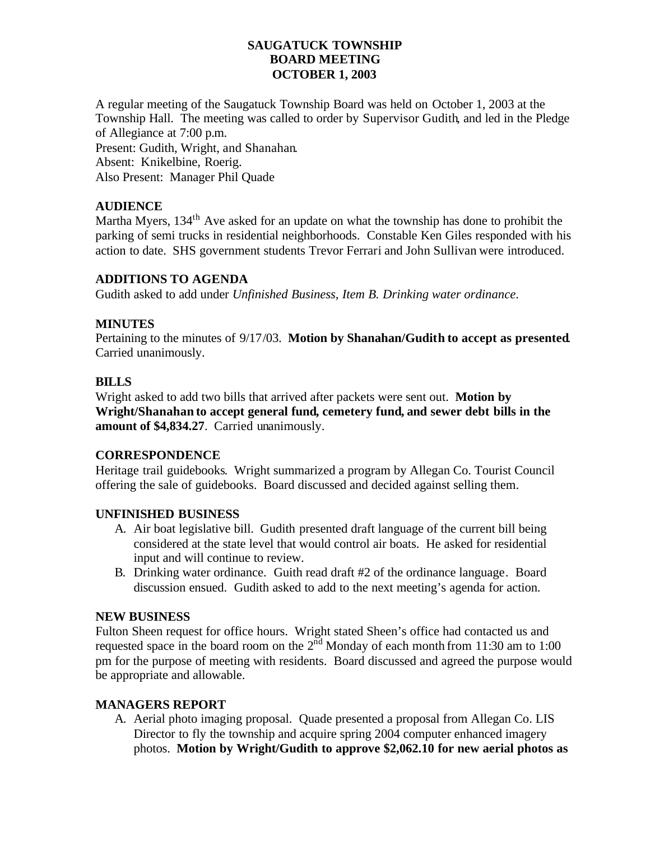### **SAUGATUCK TOWNSHIP BOARD MEETING OCTOBER 1, 2003**

A regular meeting of the Saugatuck Township Board was held on October 1, 2003 at the Township Hall. The meeting was called to order by Supervisor Gudith, and led in the Pledge of Allegiance at 7:00 p.m.

Present: Gudith, Wright, and Shanahan. Absent: Knikelbine, Roerig.

Also Present: Manager Phil Quade

# **AUDIENCE**

Martha Myers, 134<sup>th</sup> Ave asked for an update on what the township has done to prohibit the parking of semi trucks in residential neighborhoods. Constable Ken Giles responded with his action to date. SHS government students Trevor Ferrari and John Sullivan were introduced.

### **ADDITIONS TO AGENDA**

Gudith asked to add under *Unfinished Business, Item B. Drinking water ordinance*.

### **MINUTES**

Pertaining to the minutes of 9/17/03. **Motion by Shanahan/Gudith to accept as presented**. Carried unanimously.

# **BILLS**

Wright asked to add two bills that arrived after packets were sent out. **Motion by Wright/Shanahan to accept general fund, cemetery fund, and sewer debt bills in the amount of \$4,834.27**. Carried unanimously.

# **CORRESPONDENCE**

Heritage trail guidebooks. Wright summarized a program by Allegan Co. Tourist Council offering the sale of guidebooks. Board discussed and decided against selling them.

### **UNFINISHED BUSINESS**

- A. Air boat legislative bill. Gudith presented draft language of the current bill being considered at the state level that would control air boats. He asked for residential input and will continue to review.
- B. Drinking water ordinance. Guith read draft #2 of the ordinance language. Board discussion ensued. Gudith asked to add to the next meeting's agenda for action.

### **NEW BUSINESS**

Fulton Sheen request for office hours. Wright stated Sheen's office had contacted us and requested space in the board room on the  $2<sup>nd</sup>$  Monday of each month from 11:30 am to 1:00 pm for the purpose of meeting with residents. Board discussed and agreed the purpose would be appropriate and allowable.

# **MANAGERS REPORT**

A. Aerial photo imaging proposal. Quade presented a proposal from Allegan Co. LIS Director to fly the township and acquire spring 2004 computer enhanced imagery photos. **Motion by Wright/Gudith to approve \$2,062.10 for new aerial photos as**